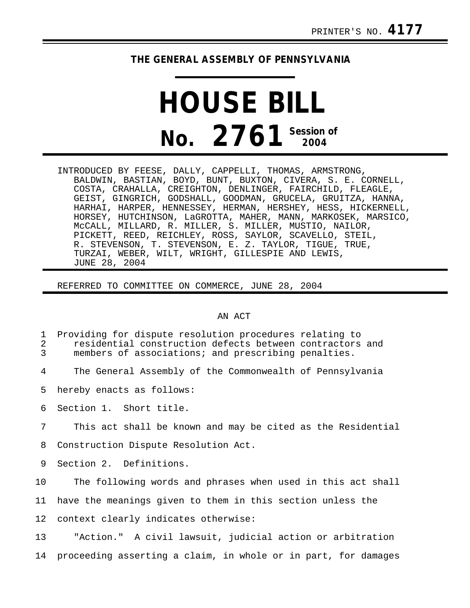## **THE GENERAL ASSEMBLY OF PENNSYLVANIA**

## **HOUSE BILL No. 2761 Session of 2004**

INTRODUCED BY FEESE, DALLY, CAPPELLI, THOMAS, ARMSTRONG, BALDWIN, BASTIAN, BOYD, BUNT, BUXTON, CIVERA, S. E. CORNELL, COSTA, CRAHALLA, CREIGHTON, DENLINGER, FAIRCHILD, FLEAGLE, GEIST, GINGRICH, GODSHALL, GOODMAN, GRUCELA, GRUITZA, HANNA, HARHAI, HARPER, HENNESSEY, HERMAN, HERSHEY, HESS, HICKERNELL, HORSEY, HUTCHINSON, LaGROTTA, MAHER, MANN, MARKOSEK, MARSICO, McCALL, MILLARD, R. MILLER, S. MILLER, MUSTIO, NAILOR, PICKETT, REED, REICHLEY, ROSS, SAYLOR, SCAVELLO, STEIL, R. STEVENSON, T. STEVENSON, E. Z. TAYLOR, TIGUE, TRUE, TURZAI, WEBER, WILT, WRIGHT, GILLESPIE AND LEWIS, JUNE 28, 2004

REFERRED TO COMMITTEE ON COMMERCE, JUNE 28, 2004

## AN ACT

| $\mathbf{1}$<br>$\sqrt{2}$<br>$\overline{3}$ | Providing for dispute resolution procedures relating to<br>residential construction defects between contractors and<br>members of associations; and prescribing penalties. |
|----------------------------------------------|----------------------------------------------------------------------------------------------------------------------------------------------------------------------------|
| 4                                            | The General Assembly of the Commonwealth of Pennsylvania                                                                                                                   |
| 5                                            | hereby enacts as follows:                                                                                                                                                  |
| 6                                            | Section 1. Short title.                                                                                                                                                    |
| 7                                            | This act shall be known and may be cited as the Residential                                                                                                                |
| 8                                            | Construction Dispute Resolution Act.                                                                                                                                       |
| 9                                            | Section 2. Definitions.                                                                                                                                                    |
| 10 <sub>1</sub>                              | The following words and phrases when used in this act shall                                                                                                                |
| 11                                           | have the meanings given to them in this section unless the                                                                                                                 |
| 12 <sub>1</sub>                              | context clearly indicates otherwise:                                                                                                                                       |
| 13                                           | "Action." A civil lawsuit, judicial action or arbitration                                                                                                                  |
| 14                                           | proceeding asserting a claim, in whole or in part, for damages                                                                                                             |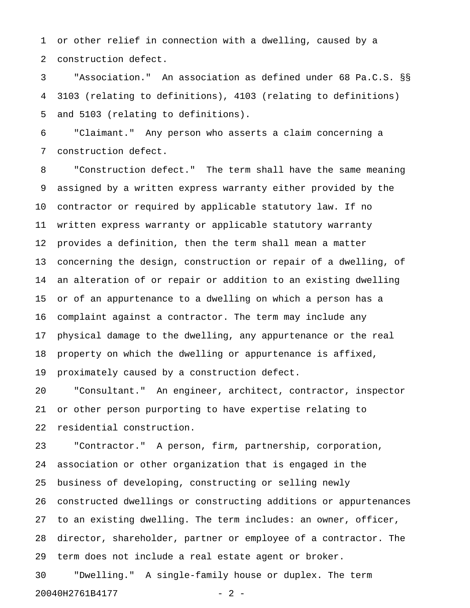1 or other relief in connection with a dwelling, caused by a 2 construction defect.

3 "Association." An association as defined under 68 Pa.C.S. §§ 4 3103 (relating to definitions), 4103 (relating to definitions) 5 and 5103 (relating to definitions).

6 "Claimant." Any person who asserts a claim concerning a 7 construction defect.

8 "Construction defect." The term shall have the same meaning 9 assigned by a written express warranty either provided by the 10 contractor or required by applicable statutory law. If no 11 written express warranty or applicable statutory warranty 12 provides a definition, then the term shall mean a matter 13 concerning the design, construction or repair of a dwelling, of 14 an alteration of or repair or addition to an existing dwelling 15 or of an appurtenance to a dwelling on which a person has a 16 complaint against a contractor. The term may include any 17 physical damage to the dwelling, any appurtenance or the real 18 property on which the dwelling or appurtenance is affixed, 19 proximately caused by a construction defect.

20 "Consultant." An engineer, architect, contractor, inspector 21 or other person purporting to have expertise relating to 22 residential construction.

23 "Contractor." A person, firm, partnership, corporation, 24 association or other organization that is engaged in the 25 business of developing, constructing or selling newly 26 constructed dwellings or constructing additions or appurtenances 27 to an existing dwelling. The term includes: an owner, officer, 28 director, shareholder, partner or employee of a contractor. The 29 term does not include a real estate agent or broker. 30 "Dwelling." A single-family house or duplex. The term

20040H2761B4177 - 2 -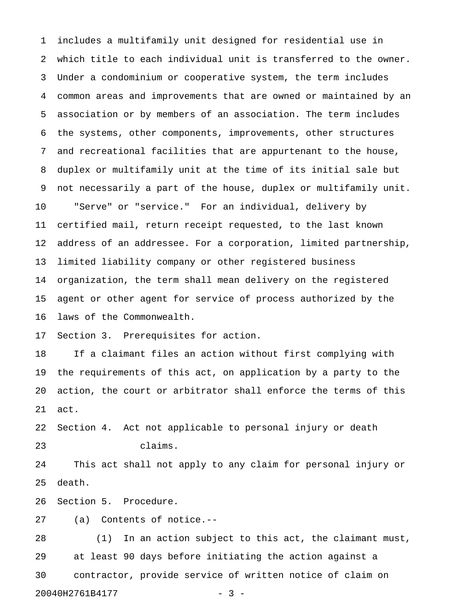1 includes a multifamily unit designed for residential use in 2 which title to each individual unit is transferred to the owner. 3 Under a condominium or cooperative system, the term includes 4 common areas and improvements that are owned or maintained by an 5 association or by members of an association. The term includes 6 the systems, other components, improvements, other structures 7 and recreational facilities that are appurtenant to the house, 8 duplex or multifamily unit at the time of its initial sale but 9 not necessarily a part of the house, duplex or multifamily unit. 10 "Serve" or "service." For an individual, delivery by 11 certified mail, return receipt requested, to the last known 12 address of an addressee. For a corporation, limited partnership, 13 limited liability company or other registered business 14 organization, the term shall mean delivery on the registered 15 agent or other agent for service of process authorized by the 16 laws of the Commonwealth. 17 Section 3. Prerequisites for action. 18 If a claimant files an action without first complying with 19 the requirements of this act, on application by a party to the 20 action, the court or arbitrator shall enforce the terms of this 21 act. 22 Section 4. Act not applicable to personal injury or death 23 claims. 24 This act shall not apply to any claim for personal injury or 25 death. 26 Section 5. Procedure.

27 (a) Contents of notice.--

28 (1) In an action subject to this act, the claimant must, 29 at least 90 days before initiating the action against a 30 contractor, provide service of written notice of claim on 20040H2761B4177 - 3 -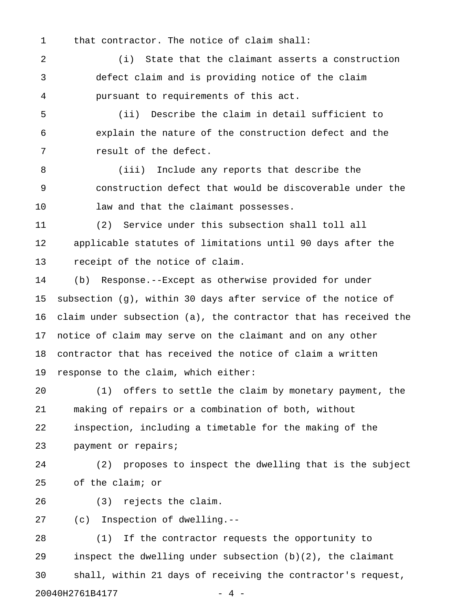1 that contractor. The notice of claim shall:

2 (i) State that the claimant asserts a construction 3 defect claim and is providing notice of the claim 4 pursuant to requirements of this act.

5 (ii) Describe the claim in detail sufficient to 6 explain the nature of the construction defect and the 7 result of the defect.

8 (iii) Include any reports that describe the 9 construction defect that would be discoverable under the 10 law and that the claimant possesses.

11 (2) Service under this subsection shall toll all 12 applicable statutes of limitations until 90 days after the 13 receipt of the notice of claim.

14 (b) Response.--Except as otherwise provided for under 15 subsection (g), within 30 days after service of the notice of 16 claim under subsection (a), the contractor that has received the 17 notice of claim may serve on the claimant and on any other 18 contractor that has received the notice of claim a written 19 response to the claim, which either:

20 (1) offers to settle the claim by monetary payment, the 21 making of repairs or a combination of both, without 22 inspection, including a timetable for the making of the 23 payment or repairs;

24 (2) proposes to inspect the dwelling that is the subject 25 of the claim; or

26 (3) rejects the claim.

27 (c) Inspection of dwelling.--

28 (1) If the contractor requests the opportunity to 29 inspect the dwelling under subsection (b)(2), the claimant 30 shall, within 21 days of receiving the contractor's request, 20040H2761B4177 - 4 -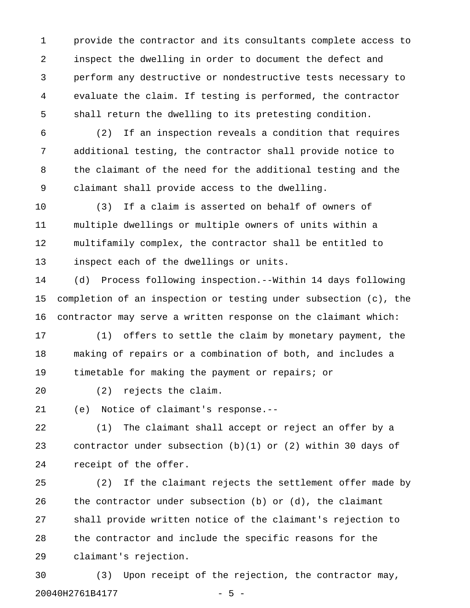1 provide the contractor and its consultants complete access to 2 inspect the dwelling in order to document the defect and 3 perform any destructive or nondestructive tests necessary to 4 evaluate the claim. If testing is performed, the contractor 5 shall return the dwelling to its pretesting condition.

6 (2) If an inspection reveals a condition that requires 7 additional testing, the contractor shall provide notice to 8 the claimant of the need for the additional testing and the 9 claimant shall provide access to the dwelling.

10 (3) If a claim is asserted on behalf of owners of 11 multiple dwellings or multiple owners of units within a 12 multifamily complex, the contractor shall be entitled to 13 inspect each of the dwellings or units.

14 (d) Process following inspection.--Within 14 days following 15 completion of an inspection or testing under subsection (c), the 16 contractor may serve a written response on the claimant which:

17 (1) offers to settle the claim by monetary payment, the 18 making of repairs or a combination of both, and includes a 19 timetable for making the payment or repairs; or

20 (2) rejects the claim.

21 (e) Notice of claimant's response.--

22 (1) The claimant shall accept or reject an offer by a 23 contractor under subsection (b)(1) or (2) within 30 days of 24 receipt of the offer.

25 (2) If the claimant rejects the settlement offer made by 26 the contractor under subsection (b) or (d), the claimant 27 shall provide written notice of the claimant's rejection to 28 the contractor and include the specific reasons for the 29 claimant's rejection.

30 (3) Upon receipt of the rejection, the contractor may, 20040H2761B4177 - 5 -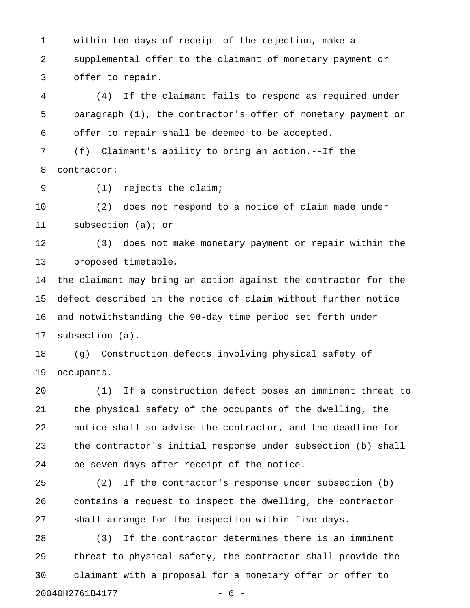1 within ten days of receipt of the rejection, make a 2 supplemental offer to the claimant of monetary payment or 3 offer to repair.

4 (4) If the claimant fails to respond as required under 5 paragraph (1), the contractor's offer of monetary payment or 6 offer to repair shall be deemed to be accepted.

7 (f) Claimant's ability to bring an action.--If the 8 contractor:

9 (1) rejects the claim;

10 (2) does not respond to a notice of claim made under 11 subsection (a); or

12 (3) does not make monetary payment or repair within the 13 proposed timetable,

14 the claimant may bring an action against the contractor for the 15 defect described in the notice of claim without further notice 16 and notwithstanding the 90-day time period set forth under 17 subsection (a).

18 (g) Construction defects involving physical safety of 19 occupants.--

20 (1) If a construction defect poses an imminent threat to 21 the physical safety of the occupants of the dwelling, the 22 notice shall so advise the contractor, and the deadline for 23 the contractor's initial response under subsection (b) shall 24 be seven days after receipt of the notice.

25 (2) If the contractor's response under subsection (b) 26 contains a request to inspect the dwelling, the contractor 27 shall arrange for the inspection within five days.

28 (3) If the contractor determines there is an imminent 29 threat to physical safety, the contractor shall provide the 30 claimant with a proposal for a monetary offer or offer to 20040H2761B4177 - 6 -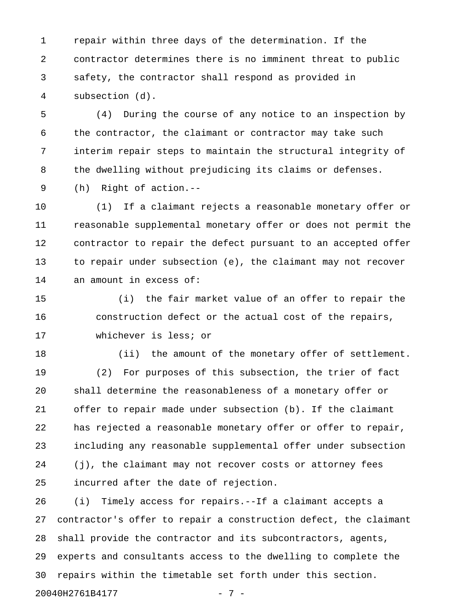1 repair within three days of the determination. If the 2 contractor determines there is no imminent threat to public 3 safety, the contractor shall respond as provided in 4 subsection (d).

5 (4) During the course of any notice to an inspection by 6 the contractor, the claimant or contractor may take such 7 interim repair steps to maintain the structural integrity of 8 the dwelling without prejudicing its claims or defenses.

9 (h) Right of action.--

10 (1) If a claimant rejects a reasonable monetary offer or 11 reasonable supplemental monetary offer or does not permit the 12 contractor to repair the defect pursuant to an accepted offer 13 to repair under subsection (e), the claimant may not recover 14 an amount in excess of:

15 (i) the fair market value of an offer to repair the 16 construction defect or the actual cost of the repairs, 17 whichever is less; or

18 (ii) the amount of the monetary offer of settlement. 19 (2) For purposes of this subsection, the trier of fact 20 shall determine the reasonableness of a monetary offer or 21 offer to repair made under subsection (b). If the claimant 22 has rejected a reasonable monetary offer or offer to repair, 23 including any reasonable supplemental offer under subsection 24 (j), the claimant may not recover costs or attorney fees 25 incurred after the date of rejection.

26 (i) Timely access for repairs.--If a claimant accepts a 27 contractor's offer to repair a construction defect, the claimant 28 shall provide the contractor and its subcontractors, agents, 29 experts and consultants access to the dwelling to complete the 30 repairs within the timetable set forth under this section. 20040H2761B4177 - 7 -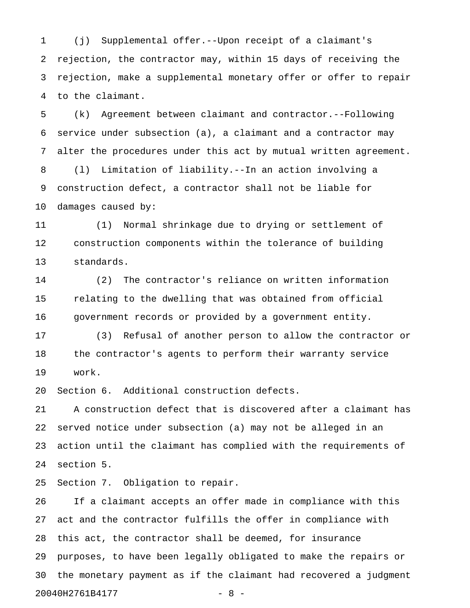1 (j) Supplemental offer.--Upon receipt of a claimant's 2 rejection, the contractor may, within 15 days of receiving the 3 rejection, make a supplemental monetary offer or offer to repair 4 to the claimant.

5 (k) Agreement between claimant and contractor.--Following 6 service under subsection (a), a claimant and a contractor may 7 alter the procedures under this act by mutual written agreement. 8 (l) Limitation of liability.--In an action involving a 9 construction defect, a contractor shall not be liable for 10 damages caused by:

11 (1) Normal shrinkage due to drying or settlement of 12 construction components within the tolerance of building 13 standards.

14 (2) The contractor's reliance on written information 15 relating to the dwelling that was obtained from official 16 government records or provided by a government entity.

17 (3) Refusal of another person to allow the contractor or 18 the contractor's agents to perform their warranty service 19 work.

20 Section 6. Additional construction defects.

21 A construction defect that is discovered after a claimant has 22 served notice under subsection (a) may not be alleged in an 23 action until the claimant has complied with the requirements of 24 section 5.

25 Section 7. Obligation to repair.

26 If a claimant accepts an offer made in compliance with this 27 act and the contractor fulfills the offer in compliance with 28 this act, the contractor shall be deemed, for insurance 29 purposes, to have been legally obligated to make the repairs or 30 the monetary payment as if the claimant had recovered a judgment 20040H2761B4177 - 8 -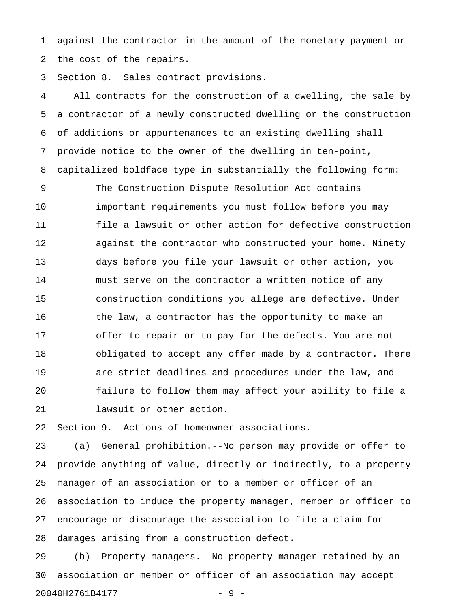1 against the contractor in the amount of the monetary payment or 2 the cost of the repairs.

3 Section 8. Sales contract provisions.

4 All contracts for the construction of a dwelling, the sale by 5 a contractor of a newly constructed dwelling or the construction 6 of additions or appurtenances to an existing dwelling shall 7 provide notice to the owner of the dwelling in ten-point, 8 capitalized boldface type in substantially the following form:

9 The Construction Dispute Resolution Act contains 10 important requirements you must follow before you may 11 file a lawsuit or other action for defective construction 12 against the contractor who constructed your home. Ninety 13 days before you file your lawsuit or other action, you 14 must serve on the contractor a written notice of any 15 construction conditions you allege are defective. Under 16 the law, a contractor has the opportunity to make an 17 offer to repair or to pay for the defects. You are not 18 obligated to accept any offer made by a contractor. There 19 are strict deadlines and procedures under the law, and 20 failure to follow them may affect your ability to file a 21 lawsuit or other action.

22 Section 9. Actions of homeowner associations.

23 (a) General prohibition.--No person may provide or offer to 24 provide anything of value, directly or indirectly, to a property 25 manager of an association or to a member or officer of an 26 association to induce the property manager, member or officer to 27 encourage or discourage the association to file a claim for 28 damages arising from a construction defect.

29 (b) Property managers.--No property manager retained by an 30 association or member or officer of an association may accept 20040H2761B4177 - 9 -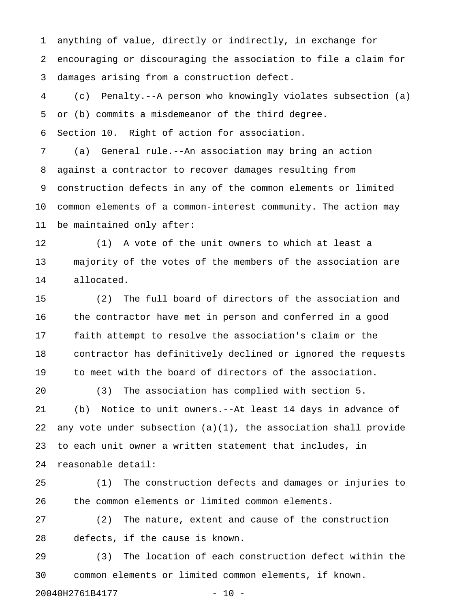1 anything of value, directly or indirectly, in exchange for 2 encouraging or discouraging the association to file a claim for 3 damages arising from a construction defect.

4 (c) Penalty.--A person who knowingly violates subsection (a) 5 or (b) commits a misdemeanor of the third degree. 6 Section 10. Right of action for association.

7 (a) General rule.--An association may bring an action 8 against a contractor to recover damages resulting from 9 construction defects in any of the common elements or limited 10 common elements of a common-interest community. The action may 11 be maintained only after:

12 (1) A vote of the unit owners to which at least a 13 majority of the votes of the members of the association are 14 allocated.

15 (2) The full board of directors of the association and 16 the contractor have met in person and conferred in a good 17 faith attempt to resolve the association's claim or the 18 contractor has definitively declined or ignored the requests 19 to meet with the board of directors of the association.

20 (3) The association has complied with section 5. 21 (b) Notice to unit owners.--At least 14 days in advance of 22 any vote under subsection (a)(1), the association shall provide 23 to each unit owner a written statement that includes, in 24 reasonable detail:

25 (1) The construction defects and damages or injuries to 26 the common elements or limited common elements.

27 (2) The nature, extent and cause of the construction 28 defects, if the cause is known.

29 (3) The location of each construction defect within the 30 common elements or limited common elements, if known.

20040H2761B4177 - 10 -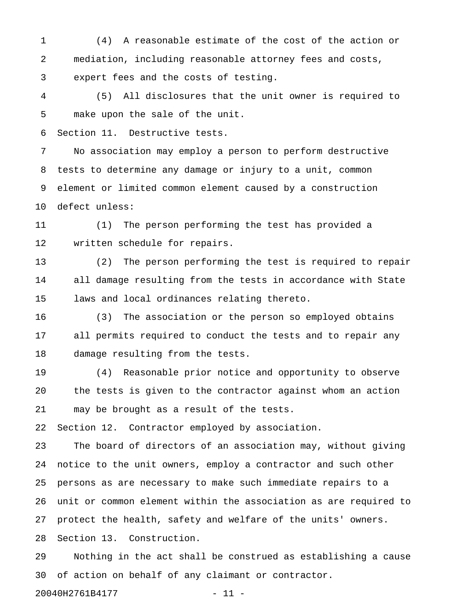1 (4) A reasonable estimate of the cost of the action or 2 mediation, including reasonable attorney fees and costs, 3 expert fees and the costs of testing.

4 (5) All disclosures that the unit owner is required to 5 make upon the sale of the unit.

6 Section 11. Destructive tests.

7 No association may employ a person to perform destructive 8 tests to determine any damage or injury to a unit, common 9 element or limited common element caused by a construction 10 defect unless:

11 (1) The person performing the test has provided a 12 written schedule for repairs.

13 (2) The person performing the test is required to repair 14 all damage resulting from the tests in accordance with State 15 laws and local ordinances relating thereto.

16 (3) The association or the person so employed obtains 17 all permits required to conduct the tests and to repair any 18 damage resulting from the tests.

19 (4) Reasonable prior notice and opportunity to observe 20 the tests is given to the contractor against whom an action 21 may be brought as a result of the tests.

22 Section 12. Contractor employed by association.

23 The board of directors of an association may, without giving 24 notice to the unit owners, employ a contractor and such other 25 persons as are necessary to make such immediate repairs to a 26 unit or common element within the association as are required to 27 protect the health, safety and welfare of the units' owners. 28 Section 13. Construction.

29 Nothing in the act shall be construed as establishing a cause 30 of action on behalf of any claimant or contractor.

20040H2761B4177 - 11 -